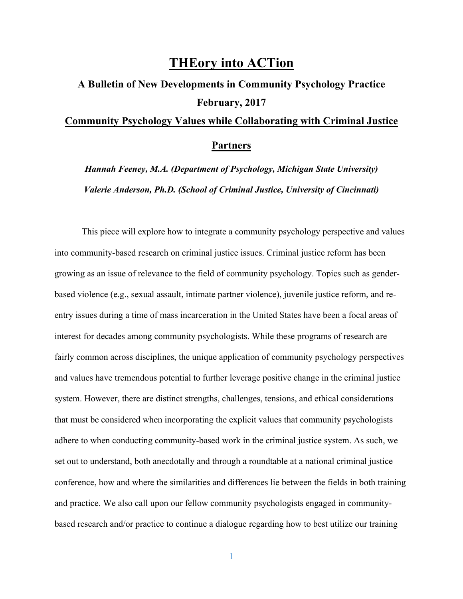## **THEory into ACTion**

## **A Bulletin of New Developments in Community Psychology Practice February, 2017 Community Psychology Values while Collaborating with Criminal Justice**

## **Partners**

*Hannah Feeney, M.A. (Department of Psychology, Michigan State University) Valerie Anderson, Ph.D. (School of Criminal Justice, University of Cincinnati)*

This piece will explore how to integrate a community psychology perspective and values into community-based research on criminal justice issues. Criminal justice reform has been growing as an issue of relevance to the field of community psychology. Topics such as genderbased violence (e.g., sexual assault, intimate partner violence), juvenile justice reform, and reentry issues during a time of mass incarceration in the United States have been a focal areas of interest for decades among community psychologists. While these programs of research are fairly common across disciplines, the unique application of community psychology perspectives and values have tremendous potential to further leverage positive change in the criminal justice system. However, there are distinct strengths, challenges, tensions, and ethical considerations that must be considered when incorporating the explicit values that community psychologists adhere to when conducting community-based work in the criminal justice system. As such, we set out to understand, both anecdotally and through a roundtable at a national criminal justice conference, how and where the similarities and differences lie between the fields in both training and practice. We also call upon our fellow community psychologists engaged in communitybased research and/or practice to continue a dialogue regarding how to best utilize our training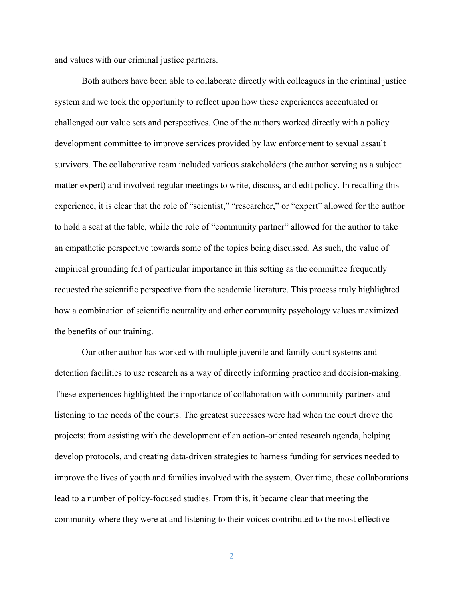and values with our criminal justice partners.

Both authors have been able to collaborate directly with colleagues in the criminal justice system and we took the opportunity to reflect upon how these experiences accentuated or challenged our value sets and perspectives. One of the authors worked directly with a policy development committee to improve services provided by law enforcement to sexual assault survivors. The collaborative team included various stakeholders (the author serving as a subject matter expert) and involved regular meetings to write, discuss, and edit policy. In recalling this experience, it is clear that the role of "scientist," "researcher," or "expert" allowed for the author to hold a seat at the table, while the role of "community partner" allowed for the author to take an empathetic perspective towards some of the topics being discussed. As such, the value of empirical grounding felt of particular importance in this setting as the committee frequently requested the scientific perspective from the academic literature. This process truly highlighted how a combination of scientific neutrality and other community psychology values maximized the benefits of our training.

Our other author has worked with multiple juvenile and family court systems and detention facilities to use research as a way of directly informing practice and decision-making. These experiences highlighted the importance of collaboration with community partners and listening to the needs of the courts. The greatest successes were had when the court drove the projects: from assisting with the development of an action-oriented research agenda, helping develop protocols, and creating data-driven strategies to harness funding for services needed to improve the lives of youth and families involved with the system. Over time, these collaborations lead to a number of policy-focused studies. From this, it became clear that meeting the community where they were at and listening to their voices contributed to the most effective

2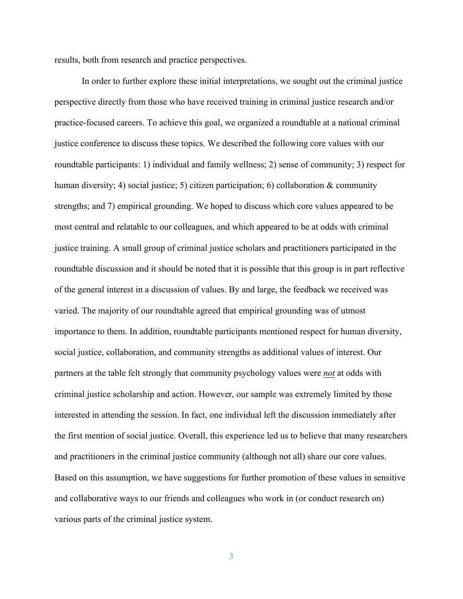results, both from research and practice perspectives.

In order to further explore these initial interpretations, we sought out the criminal justice perspective directly from those who have received training in criminal justice research and/or practice-focused careers. To achieve this goal, we organized a roundtable at a national criminal justice conference to discuss these topics. We described the following core values with our roundtable participants: 1) individual and family wellness; 2) sense of community; 3) respect for human diversity; 4) social justice; 5) citizen participation; 6) collaboration  $\&$  community strengths; and 7) empirical grounding. We hoped to discuss which core values appeared to be most central and relatable to our colleagues, and which appeared to be at odds with criminal justice training. A small group of criminal justice scholars and practitioners participated in the roundtable discussion and it should be noted that it is possible that this group is in part reflective of the general interest in a discussion of values. By and large, the feedback we received was varied. The majority of our roundtable agreed that empirical grounding was of utmost importance to them. In addition, roundtable participants mentioned respect for human diversity, social justice, collaboration, and community strengths as additional values of interest. Our partners at the table felt strongly that community psychology values were *not* at odds with criminal justice scholarship and action. However, our sample was extremely limited by those interested in attending the session. In fact, one individual left the discussion immediately after the first mention of social justice. Overall, this experience led us to believe that many researchers and practitioners in the criminal justice community (although not all) share our core values. Based on this assumption, we have suggestions for further promotion of these values in sensitive and collaborative ways to our friends and colleagues who work in (or conduct research on) various parts of the criminal justice system.

3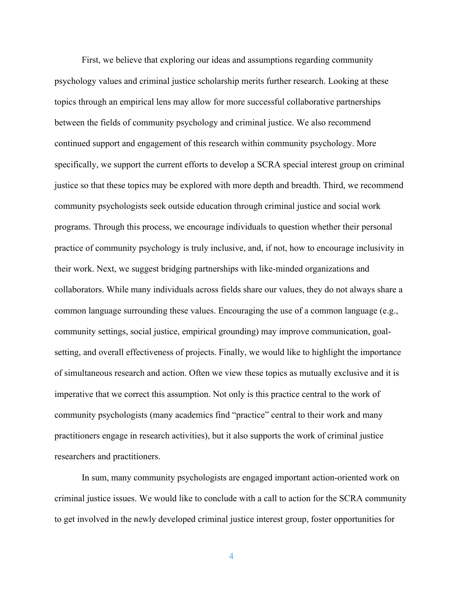First, we believe that exploring our ideas and assumptions regarding community psychology values and criminal justice scholarship merits further research. Looking at these topics through an empirical lens may allow for more successful collaborative partnerships between the fields of community psychology and criminal justice. We also recommend continued support and engagement of this research within community psychology. More specifically, we support the current efforts to develop a SCRA special interest group on criminal justice so that these topics may be explored with more depth and breadth. Third, we recommend community psychologists seek outside education through criminal justice and social work programs. Through this process, we encourage individuals to question whether their personal practice of community psychology is truly inclusive, and, if not, how to encourage inclusivity in their work. Next, we suggest bridging partnerships with like-minded organizations and collaborators. While many individuals across fields share our values, they do not always share a common language surrounding these values. Encouraging the use of a common language (e.g., community settings, social justice, empirical grounding) may improve communication, goalsetting, and overall effectiveness of projects. Finally, we would like to highlight the importance of simultaneous research and action. Often we view these topics as mutually exclusive and it is imperative that we correct this assumption. Not only is this practice central to the work of community psychologists (many academics find "practice" central to their work and many practitioners engage in research activities), but it also supports the work of criminal justice researchers and practitioners.

In sum, many community psychologists are engaged important action-oriented work on criminal justice issues. We would like to conclude with a call to action for the SCRA community to get involved in the newly developed criminal justice interest group, foster opportunities for

4